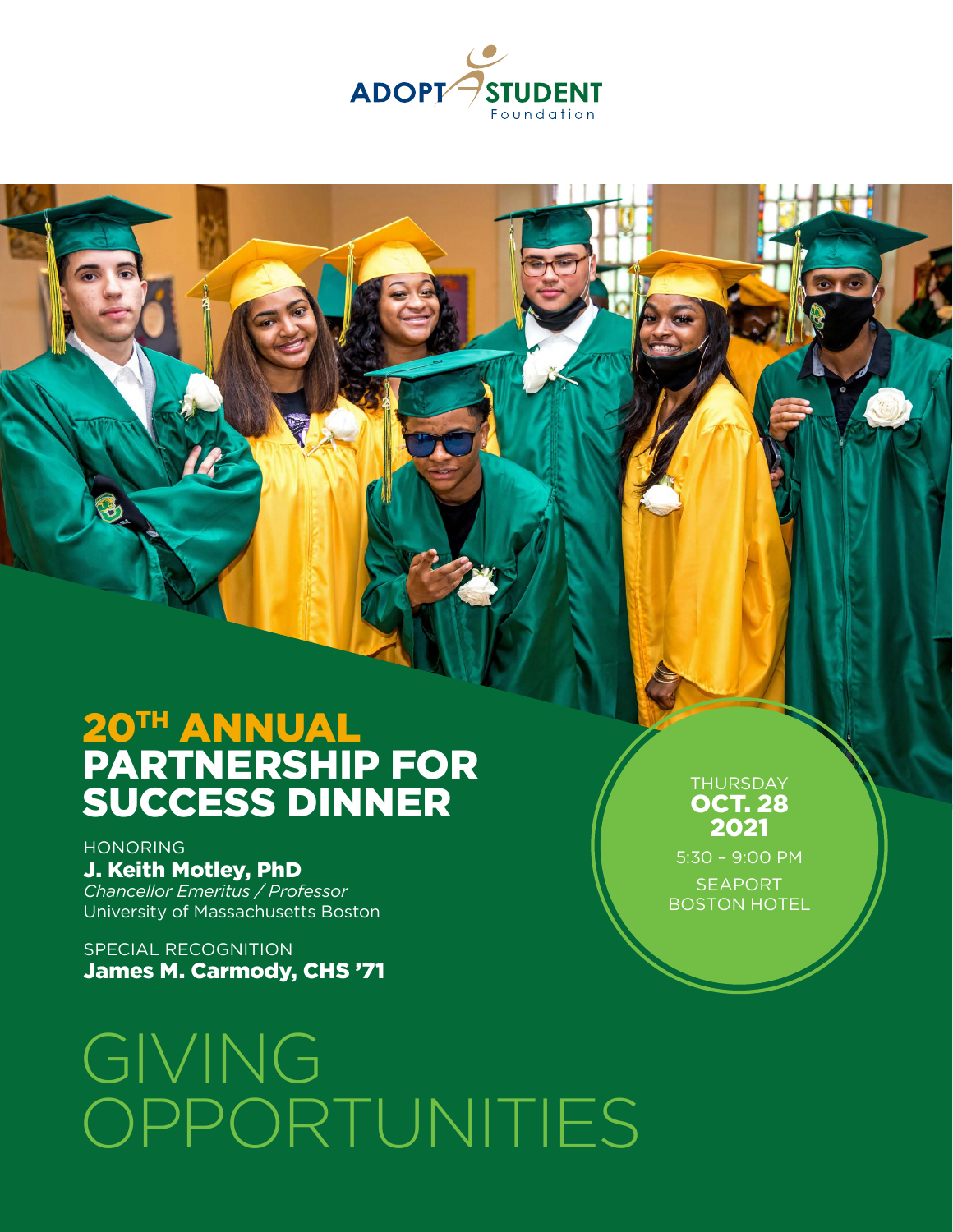

# 20TH ANNUAL PARTNERSHIP FOR SUCCESS DINNER

HONORING J. Keith Motley, PhD *Chancellor Emeritus / Professor* University of Massachusetts Boston

SPECIAL RECOGNITION James M. Carmody, CHS '71

# GIVING OPPORTUNITIES

**THURSDAY** OCT. 28 2021

5:30 – 9:00 PM SEAPORT BOSTON HOTEL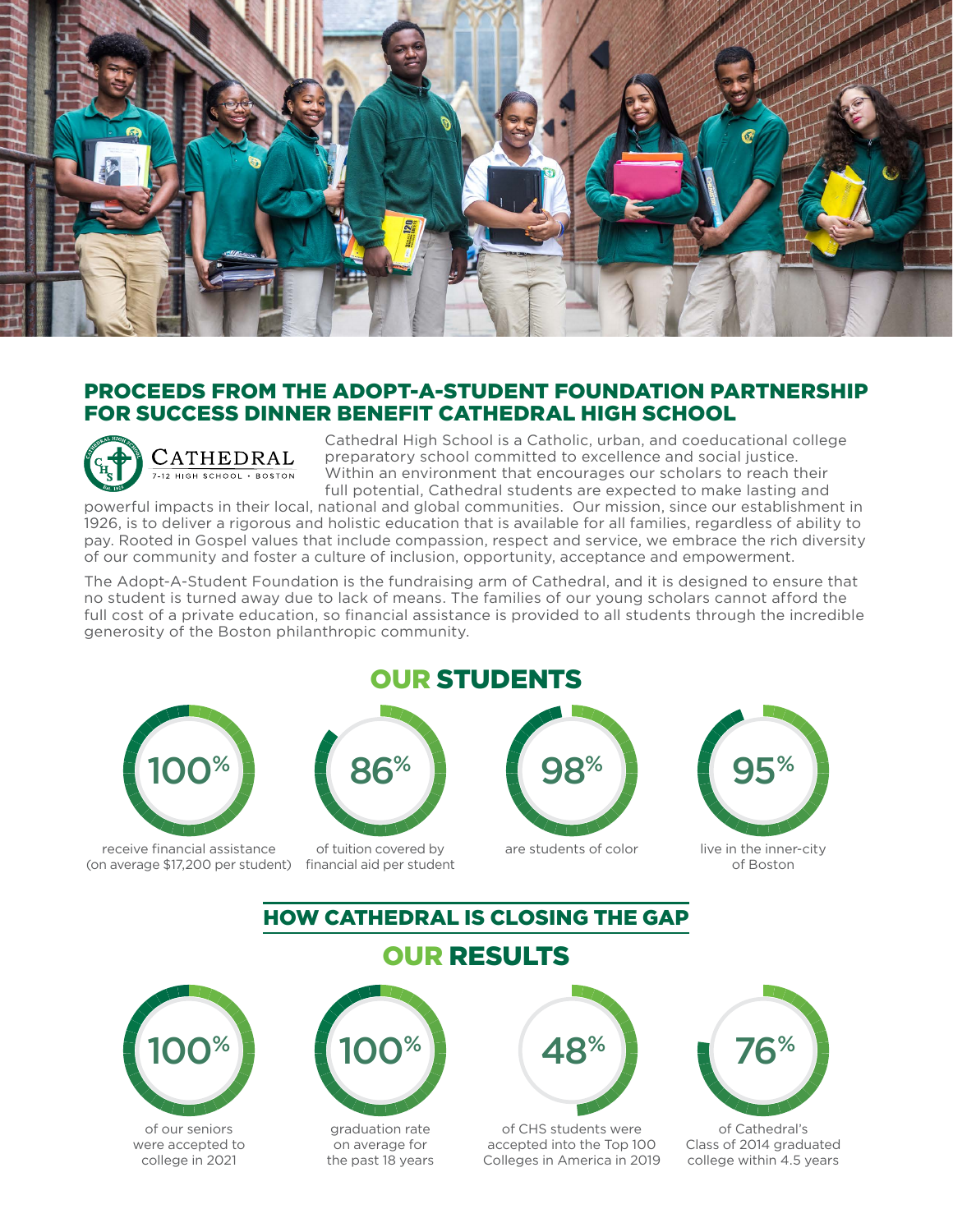

#### PROCEEDS FROM THE ADOPT-A-STUDENT FOUNDATION PARTNERSHIP FOR SUCCESS DINNER BENEFIT CATHEDRAL HIGH SCHOOL



Cathedral High School is a Catholic, urban, and coeducational college preparatory school committed to excellence and social justice. Within an environment that encourages our scholars to reach their full potential, Cathedral students are expected to make lasting and

powerful impacts in their local, national and global communities. Our mission, since our establishment in 1926, is to deliver a rigorous and holistic education that is available for all families, regardless of ability to pay. Rooted in Gospel values that include compassion, respect and service, we embrace the rich diversity of our community and foster a culture of inclusion, opportunity, acceptance and empowerment.

The Adopt-A-Student Foundation is the fundraising arm of Cathedral, and it is designed to ensure that no student is turned away due to lack of means. The families of our young scholars cannot afford the full cost of a private education, so financial assistance is provided to all students through the incredible generosity of the Boston philanthropic community.



receive financial assistance (on average \$17,200 per student) financial aid per student

#### OUR STUDENTS



of tuition covered by

#### are students of color live in the inner-city



of Boston

#### HOW CATHEDRAL IS CLOSING THE GAP

OUR RESULTS



of our seniors were accepted to college in 2021



graduation rate on average for the past 18 years



of CHS students were accepted into the Top 100 Colleges in America in 2019



of Cathedral's Class of 2014 graduated college within 4.5 years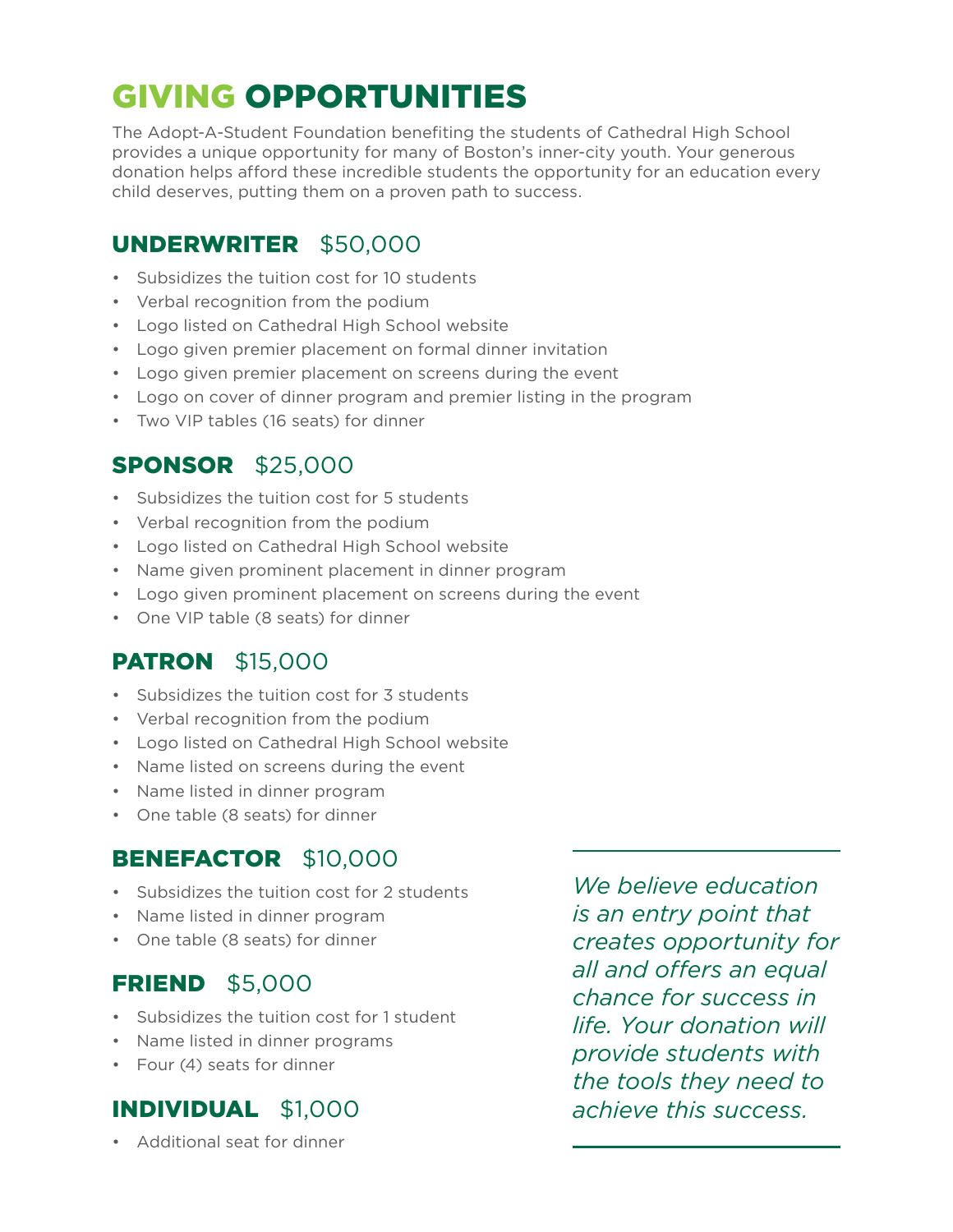# GIVING OPPORTUNITIES

The Adopt-A-Student Foundation benefiting the students of Cathedral High School provides a unique opportunity for many of Boston's inner-city youth. Your generous donation helps afford these incredible students the opportunity for an education every child deserves, putting them on a proven path to success.

### UNDERWRITER\$50,000

- Subsidizes the tuition cost for 10 students
- Verbal recognition from the podium
- Logo listed on Cathedral High School website
- Logo given premier placement on formal dinner invitation
- Logo given premier placement on screens during the event
- Logo on cover of dinner program and premier listing in the program
- Two VIP tables (16 seats) for dinner

#### SPONSOR\$25,000

- Subsidizes the tuition cost for 5 students
- Verbal recognition from the podium
- Logo listed on Cathedral High School website
- Name given prominent placement in dinner program
- Logo given prominent placement on screens during the event
- One VIP table (8 seats) for dinner

## PATRON\$15,000

- Subsidizes the tuition cost for 3 students
- Verbal recognition from the podium
- Logo listed on Cathedral High School website
- Name listed on screens during the event
- Name listed in dinner program
- One table (8 seats) for dinner

#### BENEFACTOR\$10,000

- Subsidizes the tuition cost for 2 students
- Name listed in dinner program
- One table (8 seats) for dinner

#### FRIEND\$5,000

- Subsidizes the tuition cost for 1 student
- Name listed in dinner programs
- Four (4) seats for dinner

## INDIVIDUAL\$1,000

• Additional seat for dinner

*We believe education is an entry point that creates opportunity for all and offers an equal chance for success in life. Your donation will provide students with the tools they need to achieve this success.*